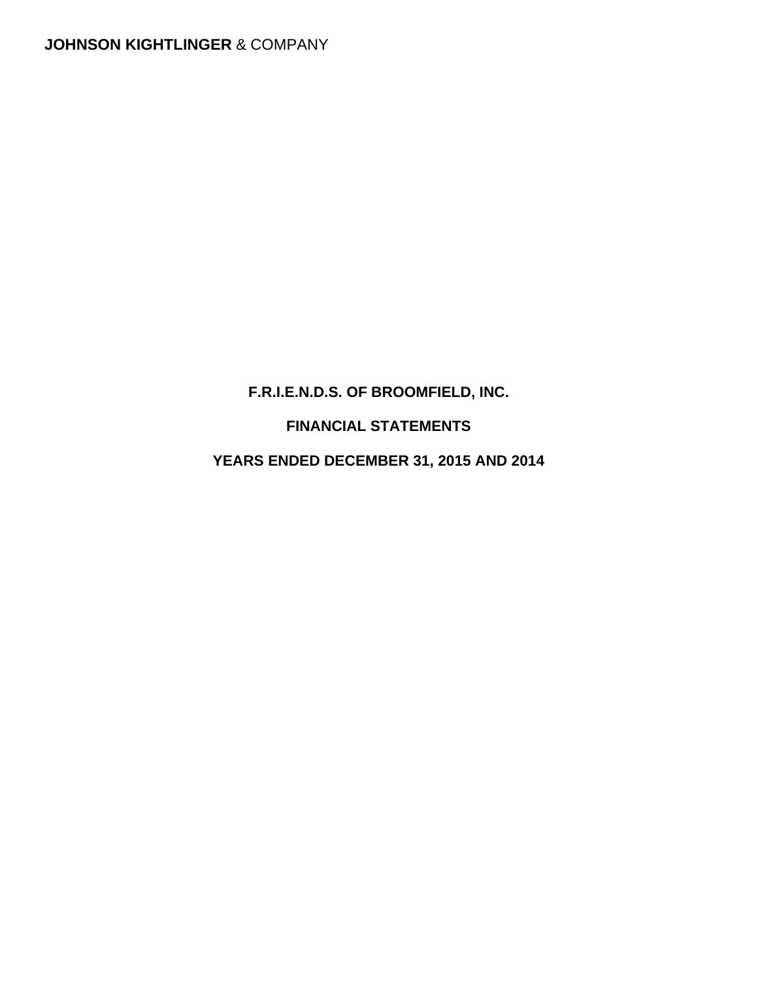# **F.R.I.E.N.D.S. OF BROOMFIELD, INC.**

# **FINANCIAL STATEMENTS**

**YEARS ENDED DECEMBER 31, 2015 AND 2014**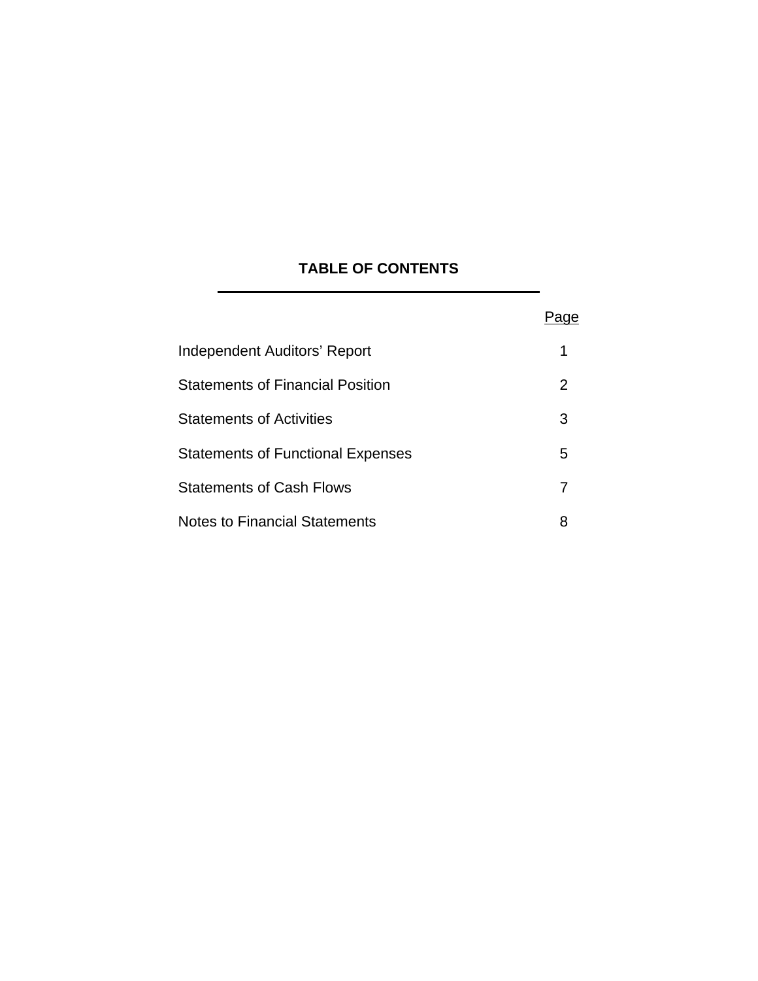# **TABLE OF CONTENTS \_\_\_\_\_\_\_\_\_\_\_\_\_\_\_\_\_\_\_\_\_\_\_\_\_\_\_\_\_\_\_\_\_\_\_\_\_\_\_**

|                                          | Page |
|------------------------------------------|------|
| Independent Auditors' Report             | 1    |
| <b>Statements of Financial Position</b>  | 2    |
| <b>Statements of Activities</b>          | 3    |
| <b>Statements of Functional Expenses</b> | 5    |
| <b>Statements of Cash Flows</b>          |      |
| <b>Notes to Financial Statements</b>     |      |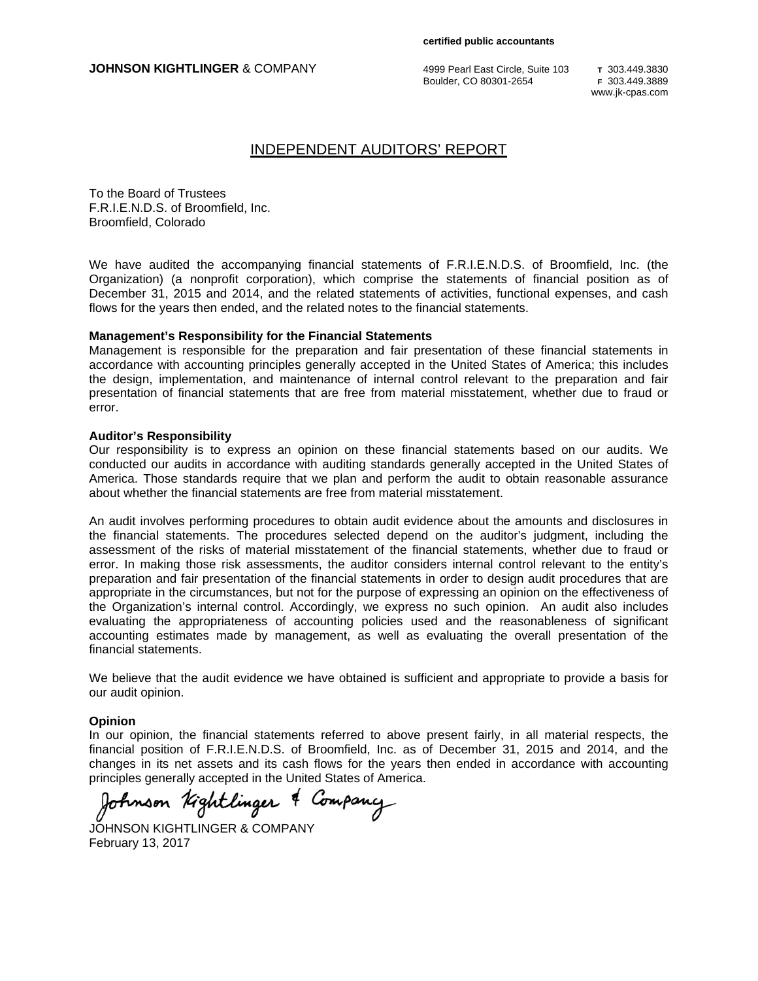## **JOHNSON KIGHTLINGER & COMPANY** 4999 Pearl East Circle, Suite 103 T 303.449.3830

Boulder, CO 80301-2654 **F** 303.449.3889

www.jk-cpas.com

## INDEPENDENT AUDITORS' REPORT

To the Board of Trustees F.R.I.E.N.D.S. of Broomfield, Inc. Broomfield, Colorado

We have audited the accompanying financial statements of F.R.I.E.N.D.S. of Broomfield, Inc. (the Organization) (a nonprofit corporation), which comprise the statements of financial position as of December 31, 2015 and 2014, and the related statements of activities, functional expenses, and cash flows for the years then ended, and the related notes to the financial statements.

#### **Management's Responsibility for the Financial Statements**

Management is responsible for the preparation and fair presentation of these financial statements in accordance with accounting principles generally accepted in the United States of America; this includes the design, implementation, and maintenance of internal control relevant to the preparation and fair presentation of financial statements that are free from material misstatement, whether due to fraud or error.

#### **Auditor's Responsibility**

Our responsibility is to express an opinion on these financial statements based on our audits. We conducted our audits in accordance with auditing standards generally accepted in the United States of America. Those standards require that we plan and perform the audit to obtain reasonable assurance about whether the financial statements are free from material misstatement.

An audit involves performing procedures to obtain audit evidence about the amounts and disclosures in the financial statements. The procedures selected depend on the auditor's judgment, including the assessment of the risks of material misstatement of the financial statements, whether due to fraud or error. In making those risk assessments, the auditor considers internal control relevant to the entity's preparation and fair presentation of the financial statements in order to design audit procedures that are appropriate in the circumstances, but not for the purpose of expressing an opinion on the effectiveness of the Organization's internal control. Accordingly, we express no such opinion. An audit also includes evaluating the appropriateness of accounting policies used and the reasonableness of significant accounting estimates made by management, as well as evaluating the overall presentation of the financial statements.

We believe that the audit evidence we have obtained is sufficient and appropriate to provide a basis for our audit opinion.

#### **Opinion**

In our opinion, the financial statements referred to above present fairly, in all material respects, the financial position of F.R.I.E.N.D.S. of Broomfield, Inc. as of December 31, 2015 and 2014, and the changes in its net assets and its cash flows for the years then ended in accordance with accounting

principles generally accepted in the United States of America.<br>Johnson Kightlinger & Company

JOHNSON KIGHTLINGER & COMPANY February 13, 2017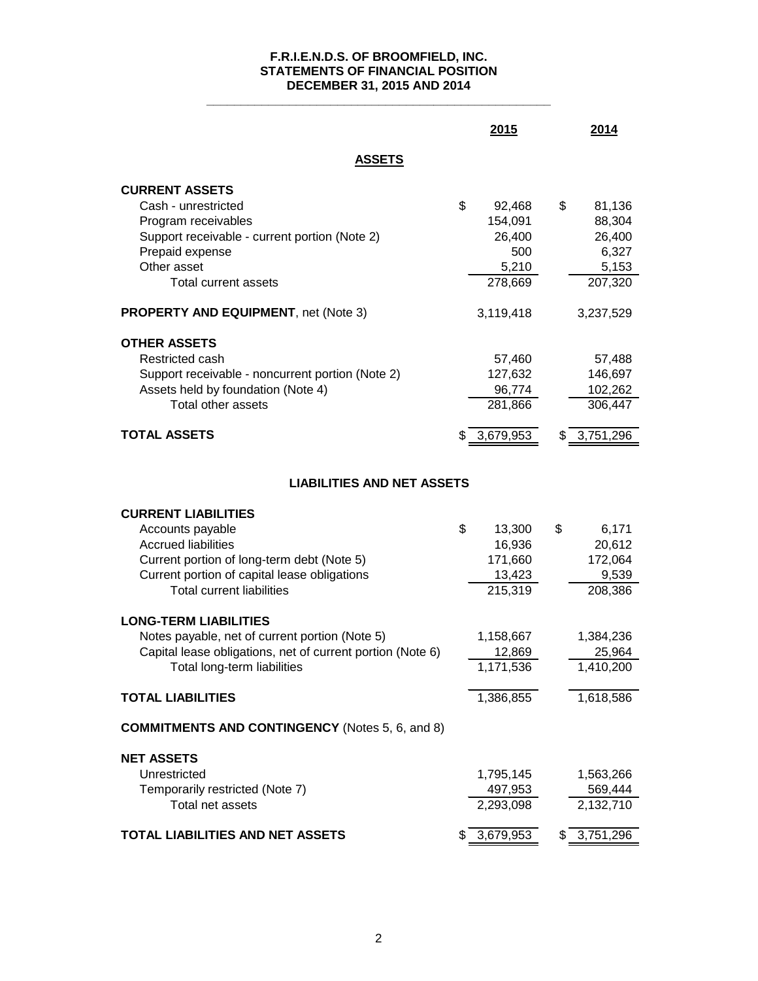### **F.R.I.E.N.D.S. OF BROOMFIELD, INC. STATEMENTS OF FINANCIAL POSITION DECEMBER 31, 2015 AND 2014**

|                                                            | 2015         |    | 2014        |
|------------------------------------------------------------|--------------|----|-------------|
| <b>ASSETS</b>                                              |              |    |             |
| <b>CURRENT ASSETS</b>                                      |              |    |             |
| Cash - unrestricted                                        | \$<br>92,468 | \$ | 81,136      |
| Program receivables                                        | 154,091      |    | 88,304      |
| Support receivable - current portion (Note 2)              | 26,400       |    | 26,400      |
| Prepaid expense                                            | 500          |    | 6,327       |
| Other asset                                                | 5,210        |    | 5,153       |
| <b>Total current assets</b>                                | 278,669      |    | 207,320     |
| <b>PROPERTY AND EQUIPMENT, net (Note 3)</b>                | 3,119,418    |    | 3,237,529   |
| <b>OTHER ASSETS</b>                                        |              |    |             |
| Restricted cash                                            | 57,460       |    | 57,488      |
| Support receivable - noncurrent portion (Note 2)           | 127,632      |    | 146,697     |
| Assets held by foundation (Note 4)                         | 96,774       |    | 102,262     |
| Total other assets                                         | 281,866      |    | 306,447     |
| <b>TOTAL ASSETS</b>                                        | 3,679,953    | S  | 3,751,296   |
|                                                            |              |    |             |
| <b>LIABILITIES AND NET ASSETS</b>                          |              |    |             |
| <b>CURRENT LIABILITIES</b>                                 |              |    |             |
| Accounts payable                                           | \$<br>13,300 | \$ | 6,171       |
| <b>Accrued liabilities</b>                                 | 16,936       |    | 20,612      |
| Current portion of long-term debt (Note 5)                 | 171,660      |    | 172,064     |
| Current portion of capital lease obligations               | 13,423       |    | 9,539       |
| <b>Total current liabilities</b>                           | 215,319      |    | 208,386     |
| <b>LONG-TERM LIABILITIES</b>                               |              |    |             |
| Notes payable, net of current portion (Note 5)             | 1,158,667    |    | 1,384,236   |
| Capital lease obligations, net of current portion (Note 6) | 12,869       |    | 25,964      |
| Total long-term liabilities                                | 1,171,536    |    | 1,410,200   |
| <b>TOTAL LIABILITIES</b>                                   | 1,386,855    |    | 1,618,586   |
| <b>COMMITMENTS AND CONTINGENCY</b> (Notes 5, 6, and 8)     |              |    |             |
| <b>NET ASSETS</b>                                          |              |    |             |
| Unrestricted                                               | 1,795,145    |    | 1,563,266   |
| Temporarily restricted (Note 7)                            | 497,953      |    | 569,444     |
| Total net assets                                           | 2,293,098    |    | 2,132,710   |
| TOTAL LIABILITIES AND NET ASSETS                           | \$3,679,953  |    | \$3,751,296 |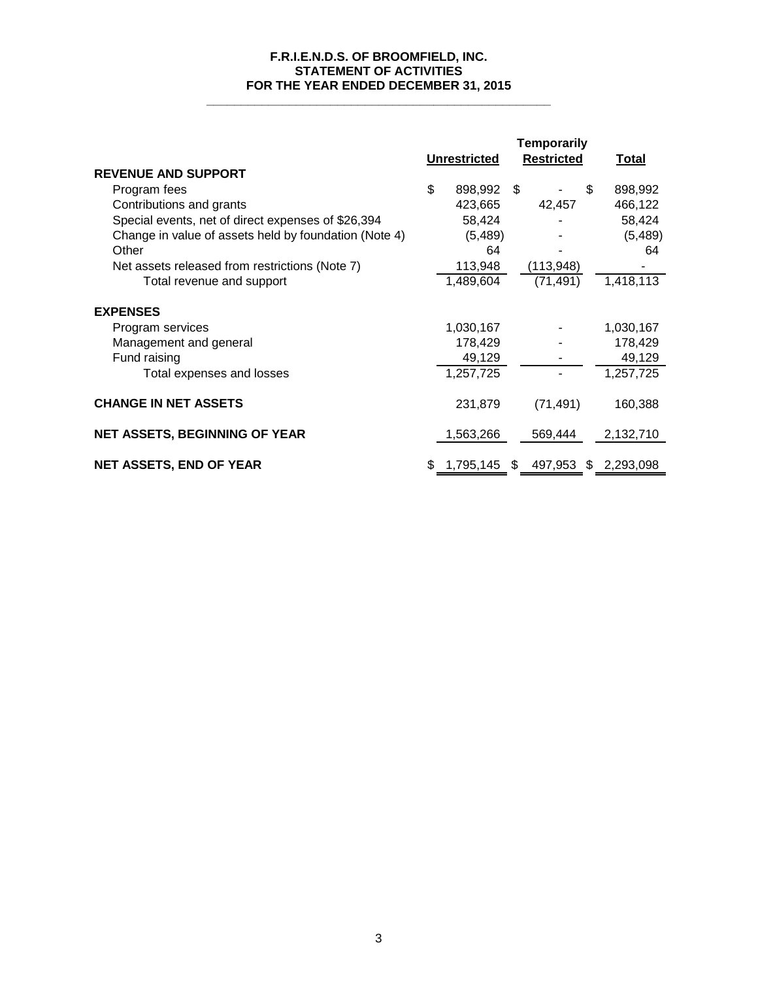### **F.R.I.E.N.D.S. OF BROOMFIELD, INC. STATEMENT OF ACTIVITIES FOR THE YEAR ENDED DECEMBER 31, 2015**

|                                                       | <b>Temporarily</b> |                     |     |                      |     |              |
|-------------------------------------------------------|--------------------|---------------------|-----|----------------------|-----|--------------|
|                                                       |                    | <b>Unrestricted</b> |     | <b>Restricted</b>    |     | <u>Total</u> |
| <b>REVENUE AND SUPPORT</b>                            |                    |                     |     |                      |     |              |
| Program fees                                          | \$                 | 898,992             | \$. |                      | \$. | 898,992      |
| Contributions and grants                              |                    | 423,665             |     | 42,457               |     | 466,122      |
| Special events, net of direct expenses of \$26,394    |                    | 58,424              |     |                      |     | 58,424       |
| Change in value of assets held by foundation (Note 4) |                    | (5,489)             |     |                      |     | (5,489)      |
| Other                                                 |                    | 64                  |     |                      |     | 64           |
| Net assets released from restrictions (Note 7)        |                    | 113,948             |     | (113, 948)           |     |              |
| Total revenue and support                             |                    | 1,489,604           |     | (71, 491)            |     | 1,418,113    |
| <b>EXPENSES</b>                                       |                    |                     |     |                      |     |              |
| Program services                                      |                    | 1,030,167           |     |                      |     | 1,030,167    |
| Management and general                                |                    | 178,429             |     |                      |     | 178,429      |
| Fund raising                                          |                    | 49,129              |     |                      |     | 49,129       |
| Total expenses and losses                             |                    | 1,257,725           |     |                      |     | 1,257,725    |
| <b>CHANGE IN NET ASSETS</b>                           |                    | 231,879             |     | (71, 491)            |     | 160,388      |
| <b>NET ASSETS, BEGINNING OF YEAR</b>                  |                    | 1,563,266           |     | 569,444              |     | 2,132,710    |
| <b>NET ASSETS, END OF YEAR</b>                        |                    | 1,795,145 \$        |     | 497,953 \$ 2,293,098 |     |              |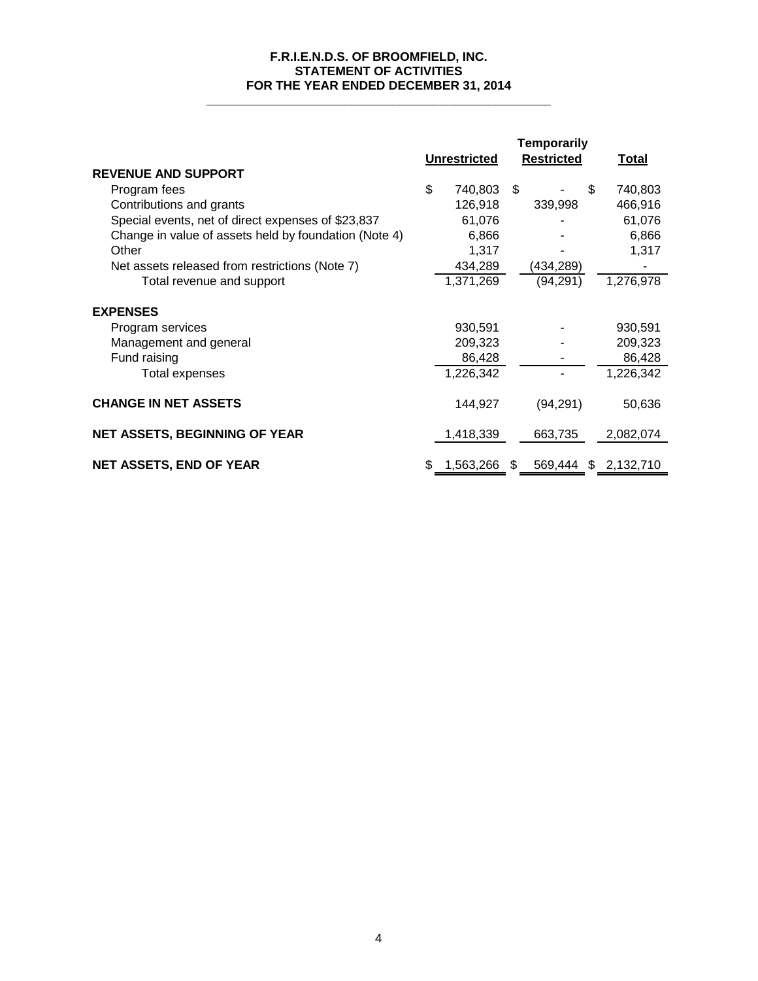### **F.R.I.E.N.D.S. OF BROOMFIELD, INC. STATEMENT OF ACTIVITIES FOR THE YEAR ENDED DECEMBER 31, 2014**

|                                                       | Temporarily         |            |                   |           |    |              |
|-------------------------------------------------------|---------------------|------------|-------------------|-----------|----|--------------|
|                                                       | <b>Unrestricted</b> |            | <b>Restricted</b> |           |    | <u>Total</u> |
| <b>REVENUE AND SUPPORT</b>                            |                     |            |                   |           |    |              |
| Program fees                                          | \$                  | 740,803 \$ |                   |           | \$ | 740,803      |
| Contributions and grants                              |                     | 126,918    |                   | 339,998   |    | 466,916      |
| Special events, net of direct expenses of \$23,837    |                     | 61,076     |                   |           |    | 61,076       |
| Change in value of assets held by foundation (Note 4) |                     | 6,866      |                   |           |    | 6,866        |
| Other                                                 |                     | 1,317      |                   |           |    | 1,317        |
| Net assets released from restrictions (Note 7)        |                     | 434,289    |                   | (434,289) |    |              |
| Total revenue and support                             |                     | 1,371,269  |                   | (94,291)  |    | 1,276,978    |
| <b>EXPENSES</b>                                       |                     |            |                   |           |    |              |
| Program services                                      |                     | 930,591    |                   |           |    | 930,591      |
| Management and general                                |                     | 209,323    |                   |           |    | 209,323      |
| Fund raising                                          |                     | 86,428     |                   |           |    | 86,428       |
| Total expenses                                        |                     | 1,226,342  |                   |           |    | 1,226,342    |
| <b>CHANGE IN NET ASSETS</b>                           |                     | 144,927    |                   | (94, 291) |    | 50,636       |
| <b>NET ASSETS, BEGINNING OF YEAR</b>                  |                     | 1,418,339  |                   | 663,735   |    | 2,082,074    |
| <b>NET ASSETS, END OF YEAR</b>                        | S                   | 1,563,266  | \$.               | 569,444   |    | \$2,132,710  |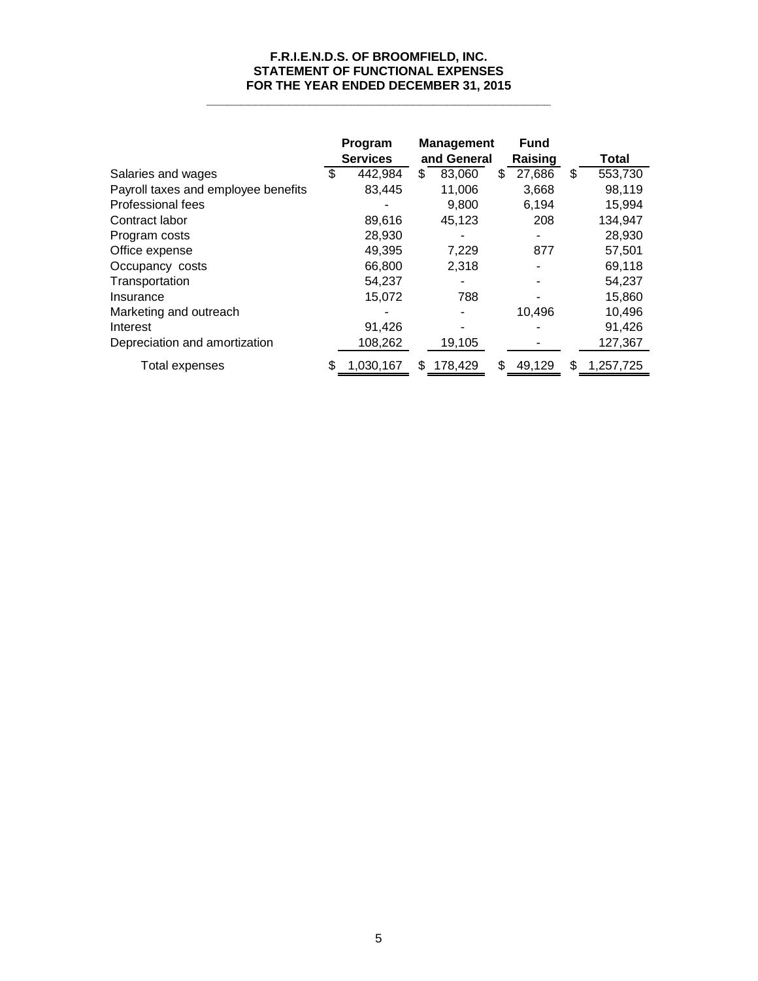#### **F.R.I.E.N.D.S. OF BROOMFIELD, INC. STATEMENT OF FUNCTIONAL EXPENSES FOR THE YEAR ENDED DECEMBER 31, 2015**

|                                     |    | Program<br><b>Services</b> | <b>Management</b><br>and General |     | <b>Fund</b><br>Raising |    | Total     |
|-------------------------------------|----|----------------------------|----------------------------------|-----|------------------------|----|-----------|
| Salaries and wages                  | S  | 442,984                    | \$<br>83,060                     | \$  | 27,686                 | S  | 553,730   |
| Payroll taxes and employee benefits |    | 83.445                     | 11.006                           |     | 3,668                  |    | 98,119    |
| Professional fees                   |    |                            | 9,800                            |     | 6,194                  |    | 15,994    |
| Contract labor                      |    | 89,616                     | 45,123                           |     | 208                    |    | 134,947   |
| Program costs                       |    | 28,930                     |                                  |     |                        |    | 28,930    |
| Office expense                      |    | 49,395                     | 7,229                            |     | 877                    |    | 57,501    |
| Occupancy costs                     |    | 66,800                     | 2,318                            |     |                        |    | 69,118    |
| Transportation                      |    | 54.237                     |                                  |     |                        |    | 54,237    |
| Insurance                           |    | 15,072                     | 788                              |     |                        |    | 15,860    |
| Marketing and outreach              |    |                            |                                  |     | 10,496                 |    | 10,496    |
| Interest                            |    | 91,426                     |                                  |     |                        |    | 91,426    |
| Depreciation and amortization       |    | 108,262                    | 19,105                           |     |                        |    | 127,367   |
| Total expenses                      | \$ | 1,030,167                  | \$<br>178,429                    | \$. | 49,129                 | \$ | 1,257,725 |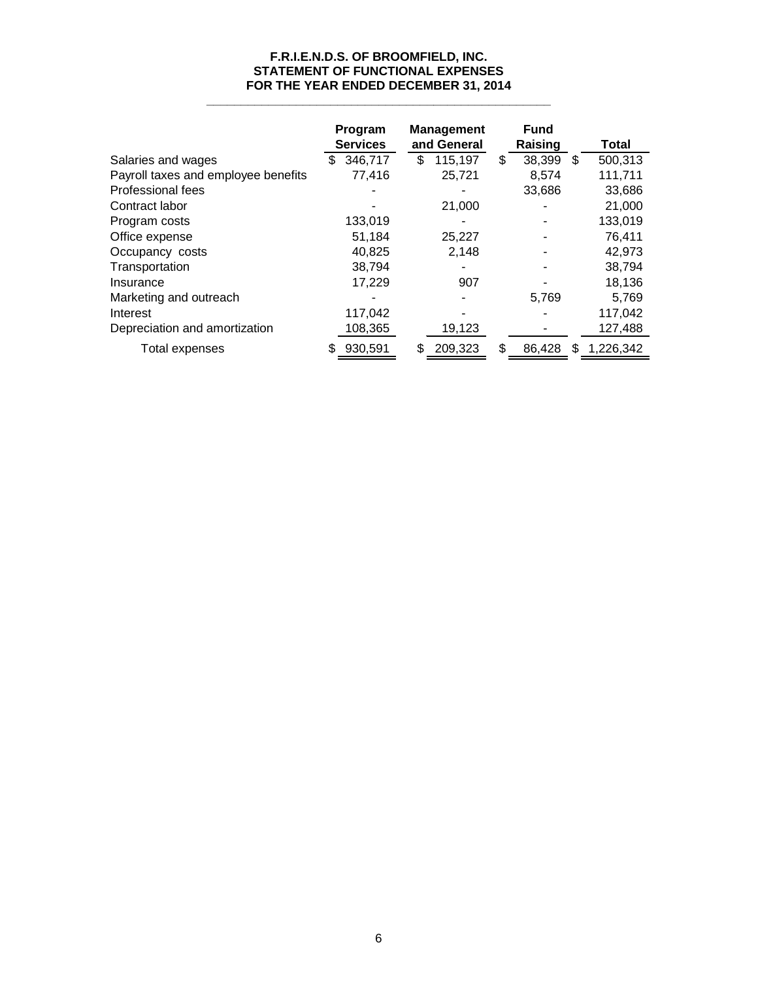## **F.R.I.E.N.D.S. OF BROOMFIELD, INC. STATEMENT OF FUNCTIONAL EXPENSES FOR THE YEAR ENDED DECEMBER 31, 2014**

|                                     | Program<br><b>Services</b> | <b>Management</b><br>and General | <b>Fund</b><br>Raising | Total            |
|-------------------------------------|----------------------------|----------------------------------|------------------------|------------------|
| Salaries and wages                  | 346,717                    | \$<br>115,197                    | 38,399<br>\$           | 500,313<br>\$.   |
| Payroll taxes and employee benefits | 77,416                     | 25,721                           | 8.574                  | 111,711          |
| Professional fees                   |                            |                                  | 33,686                 | 33,686           |
| Contract labor                      |                            | 21,000                           |                        | 21,000           |
| Program costs                       | 133,019                    |                                  |                        | 133,019          |
| Office expense                      | 51,184                     | 25,227                           |                        | 76,411           |
| Occupancy costs                     | 40,825                     | 2,148                            |                        | 42,973           |
| Transportation                      | 38,794                     |                                  |                        | 38,794           |
| Insurance                           | 17,229                     | 907                              |                        | 18,136           |
| Marketing and outreach              |                            |                                  | 5,769                  | 5,769            |
| Interest                            | 117,042                    |                                  |                        | 117,042          |
| Depreciation and amortization       | 108,365                    | 19,123                           |                        | 127,488          |
| Total expenses                      | 930,591                    | 209,323<br>S                     | \$<br>86,428           | 1,226,342<br>\$. |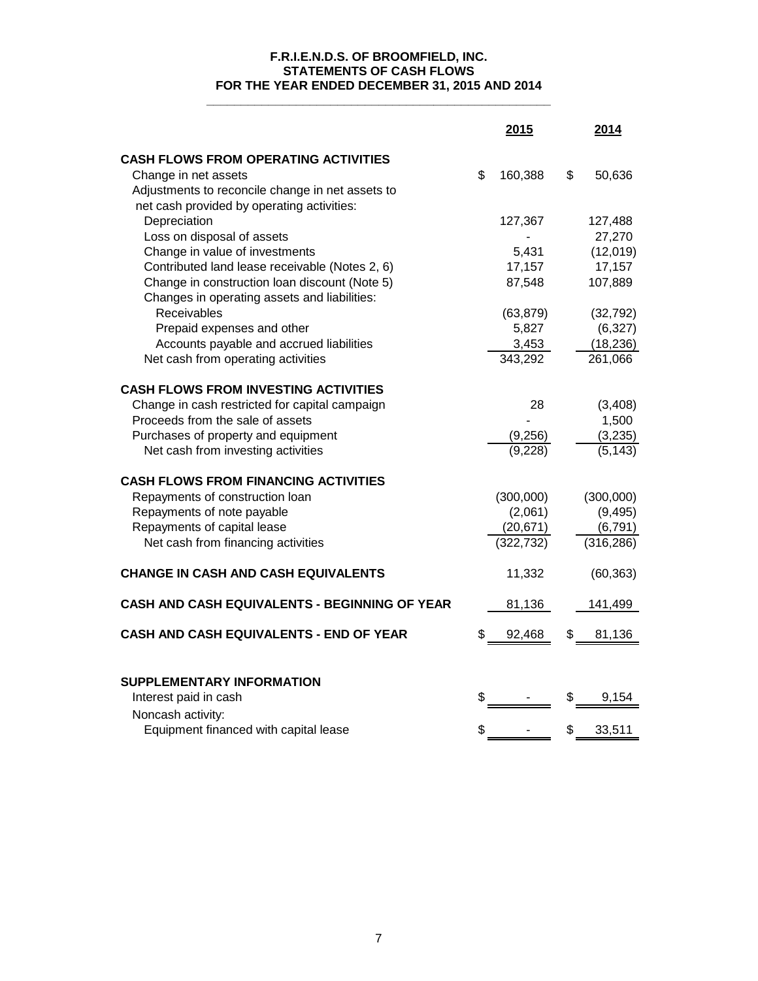#### **F.R.I.E.N.D.S. OF BROOMFIELD, INC. STATEMENTS OF CASH FLOWS FOR THE YEAR ENDED DECEMBER 31, 2015 AND 2014**

|                                                                                                                        | 2015          | 2014         |
|------------------------------------------------------------------------------------------------------------------------|---------------|--------------|
| <b>CASH FLOWS FROM OPERATING ACTIVITIES</b>                                                                            |               |              |
| Change in net assets<br>Adjustments to reconcile change in net assets to<br>net cash provided by operating activities: | \$<br>160,388 | \$<br>50,636 |
| Depreciation                                                                                                           | 127,367       | 127,488      |
| Loss on disposal of assets                                                                                             |               | 27,270       |
| Change in value of investments                                                                                         | 5,431         | (12,019)     |
| Contributed land lease receivable (Notes 2, 6)                                                                         | 17,157        | 17,157       |
| Change in construction loan discount (Note 5)<br>Changes in operating assets and liabilities:                          | 87,548        | 107,889      |
| Receivables                                                                                                            | (63, 879)     | (32, 792)    |
| Prepaid expenses and other                                                                                             | 5,827         | (6, 327)     |
| Accounts payable and accrued liabilities                                                                               | 3,453         | (18, 236)    |
| Net cash from operating activities                                                                                     | 343,292       | 261,066      |
| <b>CASH FLOWS FROM INVESTING ACTIVITIES</b>                                                                            |               |              |
| Change in cash restricted for capital campaign                                                                         | 28            | (3,408)      |
| Proceeds from the sale of assets                                                                                       |               | 1,500        |
| Purchases of property and equipment                                                                                    | (9,256)       | (3,235)      |
| Net cash from investing activities                                                                                     | (9,228)       | (5, 143)     |
| <b>CASH FLOWS FROM FINANCING ACTIVITIES</b>                                                                            |               |              |
| Repayments of construction loan                                                                                        | (300,000)     | (300,000)    |
| Repayments of note payable                                                                                             | (2,061)       | (9, 495)     |
| Repayments of capital lease                                                                                            | (20, 671)     | (6, 791)     |
| Net cash from financing activities                                                                                     | (322, 732)    | (316, 286)   |
| <b>CHANGE IN CASH AND CASH EQUIVALENTS</b>                                                                             | 11,332        | (60, 363)    |
| CASH AND CASH EQUIVALENTS - BEGINNING OF YEAR                                                                          | 81,136        | 141,499      |
| CASH AND CASH EQUIVALENTS - END OF YEAR                                                                                | \$<br>92,468  | \$<br>81,136 |
|                                                                                                                        |               |              |
| <b>SUPPLEMENTARY INFORMATION</b>                                                                                       |               |              |
| Interest paid in cash                                                                                                  | \$            | \$<br>9,154  |
| Noncash activity:<br>Equipment financed with capital lease                                                             | \$            | \$<br>33,511 |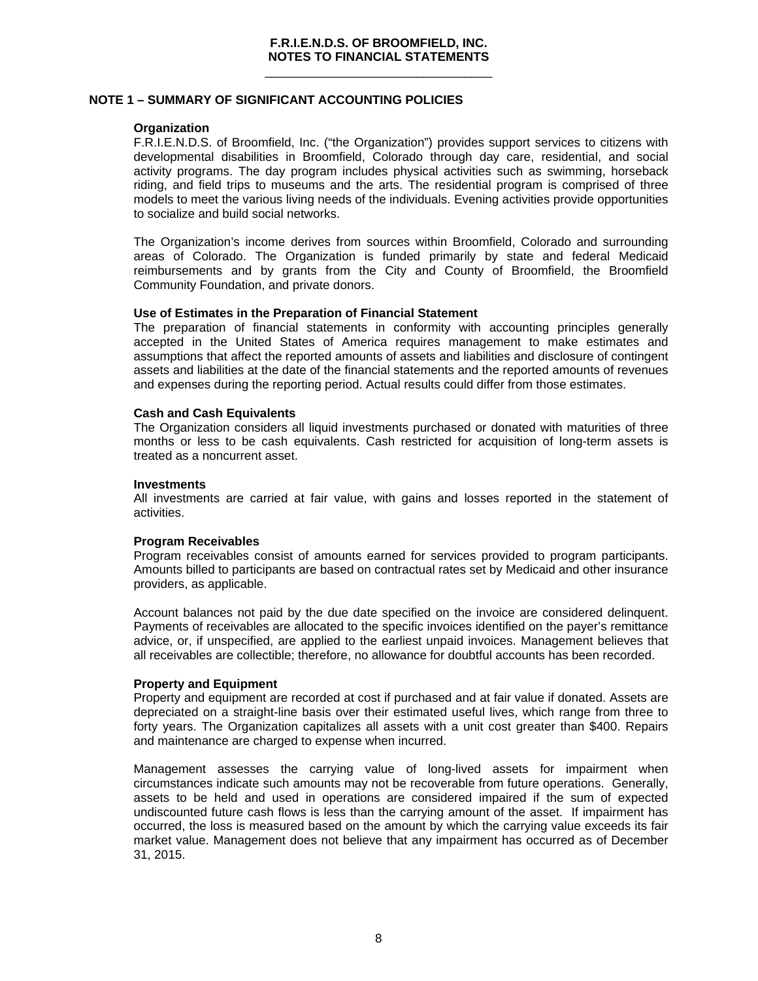## **NOTE 1 – SUMMARY OF SIGNIFICANT ACCOUNTING POLICIES**

#### **Organization**

F.R.I.E.N.D.S. of Broomfield, Inc. ("the Organization") provides support services to citizens with developmental disabilities in Broomfield, Colorado through day care, residential, and social activity programs. The day program includes physical activities such as swimming, horseback riding, and field trips to museums and the arts. The residential program is comprised of three models to meet the various living needs of the individuals. Evening activities provide opportunities to socialize and build social networks.

The Organization's income derives from sources within Broomfield, Colorado and surrounding areas of Colorado. The Organization is funded primarily by state and federal Medicaid reimbursements and by grants from the City and County of Broomfield, the Broomfield Community Foundation, and private donors.

#### **Use of Estimates in the Preparation of Financial Statement**

The preparation of financial statements in conformity with accounting principles generally accepted in the United States of America requires management to make estimates and assumptions that affect the reported amounts of assets and liabilities and disclosure of contingent assets and liabilities at the date of the financial statements and the reported amounts of revenues and expenses during the reporting period. Actual results could differ from those estimates.

#### **Cash and Cash Equivalents**

The Organization considers all liquid investments purchased or donated with maturities of three months or less to be cash equivalents. Cash restricted for acquisition of long-term assets is treated as a noncurrent asset.

#### **Investments**

All investments are carried at fair value, with gains and losses reported in the statement of activities.

#### **Program Receivables**

Program receivables consist of amounts earned for services provided to program participants. Amounts billed to participants are based on contractual rates set by Medicaid and other insurance providers, as applicable.

Account balances not paid by the due date specified on the invoice are considered delinquent. Payments of receivables are allocated to the specific invoices identified on the payer's remittance advice, or, if unspecified, are applied to the earliest unpaid invoices. Management believes that all receivables are collectible; therefore, no allowance for doubtful accounts has been recorded.

#### **Property and Equipment**

Property and equipment are recorded at cost if purchased and at fair value if donated. Assets are depreciated on a straight-line basis over their estimated useful lives, which range from three to forty years. The Organization capitalizes all assets with a unit cost greater than \$400. Repairs and maintenance are charged to expense when incurred.

Management assesses the carrying value of long-lived assets for impairment when circumstances indicate such amounts may not be recoverable from future operations. Generally, assets to be held and used in operations are considered impaired if the sum of expected undiscounted future cash flows is less than the carrying amount of the asset. If impairment has occurred, the loss is measured based on the amount by which the carrying value exceeds its fair market value. Management does not believe that any impairment has occurred as of December 31, 2015.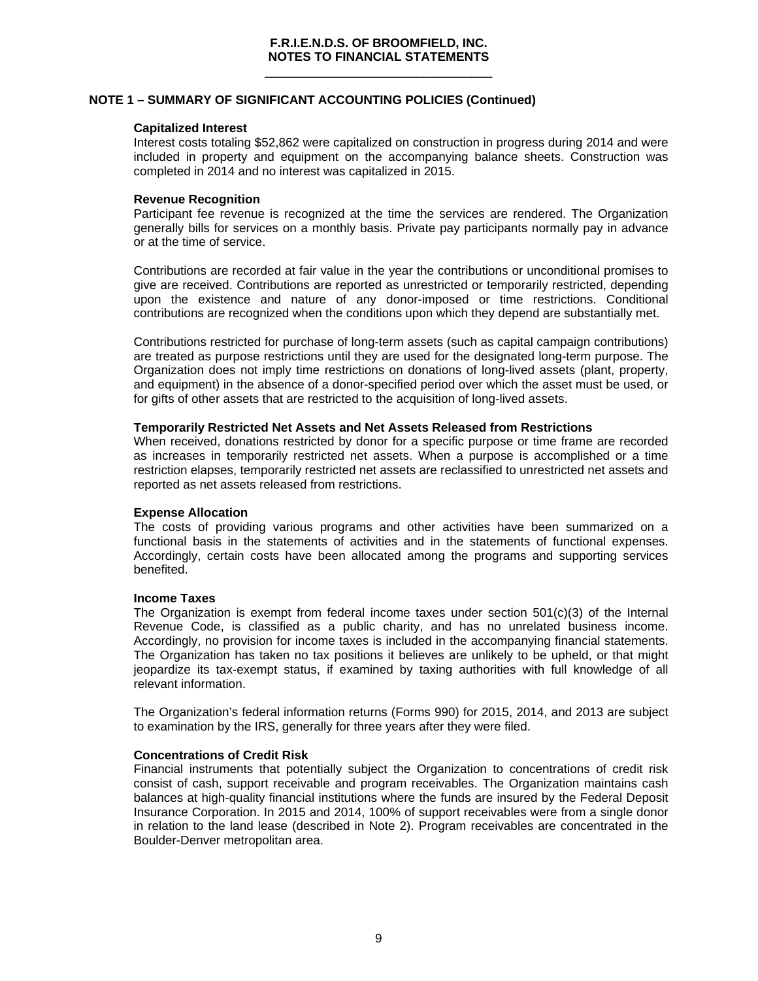### **NOTE 1 – SUMMARY OF SIGNIFICANT ACCOUNTING POLICIES (Continued)**

#### **Capitalized Interest**

Interest costs totaling \$52,862 were capitalized on construction in progress during 2014 and were included in property and equipment on the accompanying balance sheets. Construction was completed in 2014 and no interest was capitalized in 2015.

#### **Revenue Recognition**

Participant fee revenue is recognized at the time the services are rendered. The Organization generally bills for services on a monthly basis. Private pay participants normally pay in advance or at the time of service.

Contributions are recorded at fair value in the year the contributions or unconditional promises to give are received. Contributions are reported as unrestricted or temporarily restricted, depending upon the existence and nature of any donor-imposed or time restrictions. Conditional contributions are recognized when the conditions upon which they depend are substantially met.

Contributions restricted for purchase of long-term assets (such as capital campaign contributions) are treated as purpose restrictions until they are used for the designated long-term purpose. The Organization does not imply time restrictions on donations of long-lived assets (plant, property, and equipment) in the absence of a donor-specified period over which the asset must be used, or for gifts of other assets that are restricted to the acquisition of long-lived assets.

#### **Temporarily Restricted Net Assets and Net Assets Released from Restrictions**

When received, donations restricted by donor for a specific purpose or time frame are recorded as increases in temporarily restricted net assets. When a purpose is accomplished or a time restriction elapses, temporarily restricted net assets are reclassified to unrestricted net assets and reported as net assets released from restrictions.

#### **Expense Allocation**

The costs of providing various programs and other activities have been summarized on a functional basis in the statements of activities and in the statements of functional expenses. Accordingly, certain costs have been allocated among the programs and supporting services benefited.

#### **Income Taxes**

The Organization is exempt from federal income taxes under section  $501(c)(3)$  of the Internal Revenue Code, is classified as a public charity, and has no unrelated business income. Accordingly, no provision for income taxes is included in the accompanying financial statements. The Organization has taken no tax positions it believes are unlikely to be upheld, or that might jeopardize its tax-exempt status, if examined by taxing authorities with full knowledge of all relevant information.

The Organization's federal information returns (Forms 990) for 2015, 2014, and 2013 are subject to examination by the IRS, generally for three years after they were filed.

#### **Concentrations of Credit Risk**

Financial instruments that potentially subject the Organization to concentrations of credit risk consist of cash, support receivable and program receivables. The Organization maintains cash balances at high-quality financial institutions where the funds are insured by the Federal Deposit Insurance Corporation. In 2015 and 2014, 100% of support receivables were from a single donor in relation to the land lease (described in Note 2). Program receivables are concentrated in the Boulder-Denver metropolitan area.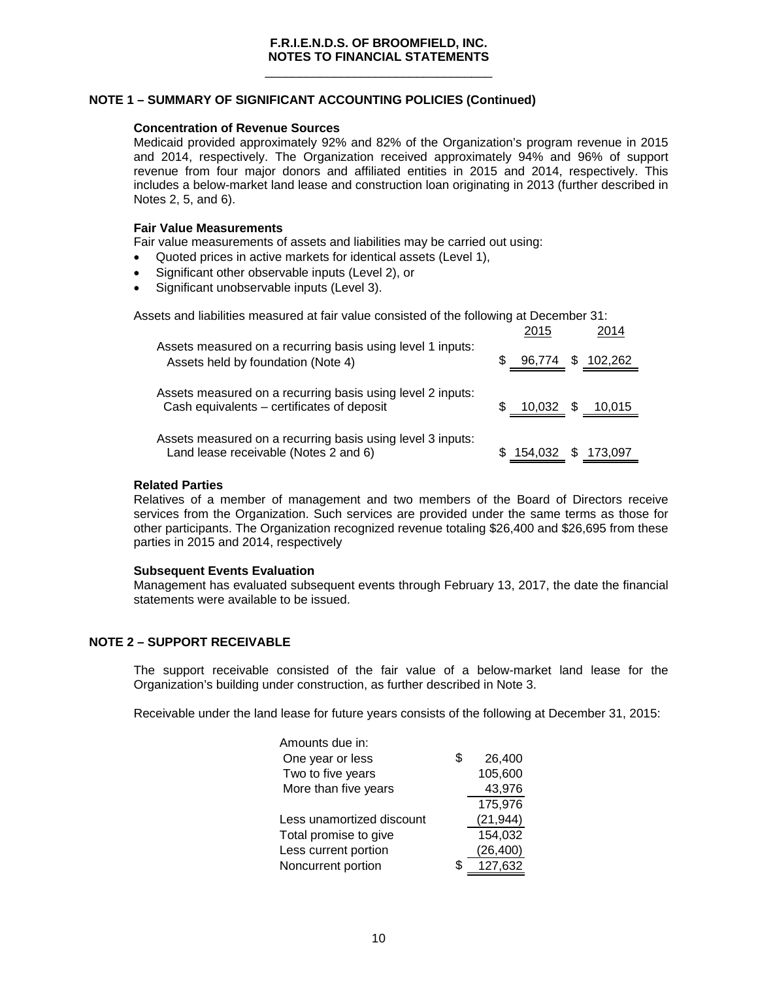## **NOTE 1 – SUMMARY OF SIGNIFICANT ACCOUNTING POLICIES (Continued)**

#### **Concentration of Revenue Sources**

Medicaid provided approximately 92% and 82% of the Organization's program revenue in 2015 and 2014, respectively. The Organization received approximately 94% and 96% of support revenue from four major donors and affiliated entities in 2015 and 2014, respectively. This includes a below-market land lease and construction loan originating in 2013 (further described in Notes 2, 5, and 6).

#### **Fair Value Measurements**

Fair value measurements of assets and liabilities may be carried out using:

- Quoted prices in active markets for identical assets (Level 1),
- Significant other observable inputs (Level 2), or
- Significant unobservable inputs (Level 3).

Assets and liabilities measured at fair value consisted of the following at December 31:

|                                                                                                          |   | 2015               |                   |
|----------------------------------------------------------------------------------------------------------|---|--------------------|-------------------|
| Assets measured on a recurring basis using level 1 inputs:<br>Assets held by foundation (Note 4)         | S |                    | 96,774 \$ 102,262 |
| Assets measured on a recurring basis using level 2 inputs:<br>Cash equivalents - certificates of deposit |   | 10,032             | \$<br>10,015      |
| Assets measured on a recurring basis using level 3 inputs:<br>Land lease receivable (Notes 2 and 6)      |   | 154,032 \$ 173,097 |                   |

## **Related Parties**

Relatives of a member of management and two members of the Board of Directors receive services from the Organization. Such services are provided under the same terms as those for other participants. The Organization recognized revenue totaling \$26,400 and \$26,695 from these parties in 2015 and 2014, respectively

#### **Subsequent Events Evaluation**

Management has evaluated subsequent events through February 13, 2017, the date the financial statements were available to be issued.

### **NOTE 2 – SUPPORT RECEIVABLE**

The support receivable consisted of the fair value of a below-market land lease for the Organization's building under construction, as further described in Note 3.

Receivable under the land lease for future years consists of the following at December 31, 2015:

| Amounts due in:           |    |           |
|---------------------------|----|-----------|
| One year or less          | \$ | 26,400    |
| Two to five years         |    | 105,600   |
| More than five years      |    | 43,976    |
|                           |    | 175,976   |
| Less unamortized discount |    | (21, 944) |
| Total promise to give     |    | 154,032   |
| Less current portion      |    | (26, 400) |
| Noncurrent portion        | S  | 127,632   |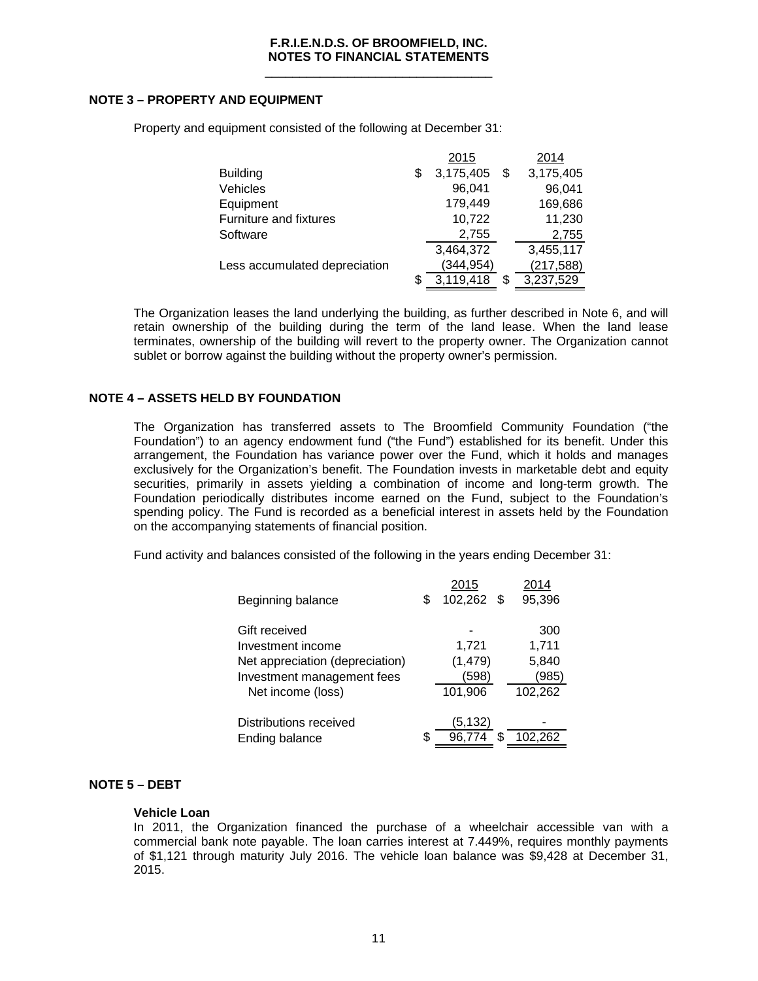## **NOTE 3 – PROPERTY AND EQUIPMENT**

|                               | 2015            |      | 2014       |
|-------------------------------|-----------------|------|------------|
| <b>Building</b>               | \$<br>3,175,405 | - \$ | 3,175,405  |
| Vehicles                      | 96,041          |      | 96,041     |
| Equipment                     | 179,449         |      | 169,686    |
| Furniture and fixtures        | 10,722          |      | 11,230     |
| Software                      | 2,755           |      | 2,755      |
|                               | 3,464,372       |      | 3,455,117  |
| Less accumulated depreciation | (344, 954)      |      | (217, 588) |
|                               | 3,119,418       | £.   | 3,237,529  |

Property and equipment consisted of the following at December 31:

 The Organization leases the land underlying the building, as further described in Note 6, and will retain ownership of the building during the term of the land lease. When the land lease terminates, ownership of the building will revert to the property owner. The Organization cannot sublet or borrow against the building without the property owner's permission.

## **NOTE 4 – ASSETS HELD BY FOUNDATION**

The Organization has transferred assets to The Broomfield Community Foundation ("the Foundation") to an agency endowment fund ("the Fund") established for its benefit. Under this arrangement, the Foundation has variance power over the Fund, which it holds and manages exclusively for the Organization's benefit. The Foundation invests in marketable debt and equity securities, primarily in assets yielding a combination of income and long-term growth. The Foundation periodically distributes income earned on the Fund, subject to the Foundation's spending policy. The Fund is recorded as a beneficial interest in assets held by the Foundation on the accompanying statements of financial position.

Fund activity and balances consisted of the following in the years ending December 31:

| S | 2015<br>102,262<br>\$. | 2014<br>95,396 |
|---|------------------------|----------------|
|   |                        | 300<br>1,711   |
|   | (1, 479)               | 5,840<br>(985) |
|   | 101,906                | 102,262        |
|   | (5,132)<br>96.774      | 102,262        |
|   |                        | 1,721<br>(598) |

#### **NOTE 5 – DEBT**

#### **Vehicle Loan**

In 2011, the Organization financed the purchase of a wheelchair accessible van with a commercial bank note payable. The loan carries interest at 7.449%, requires monthly payments of \$1,121 through maturity July 2016. The vehicle loan balance was \$9,428 at December 31, 2015.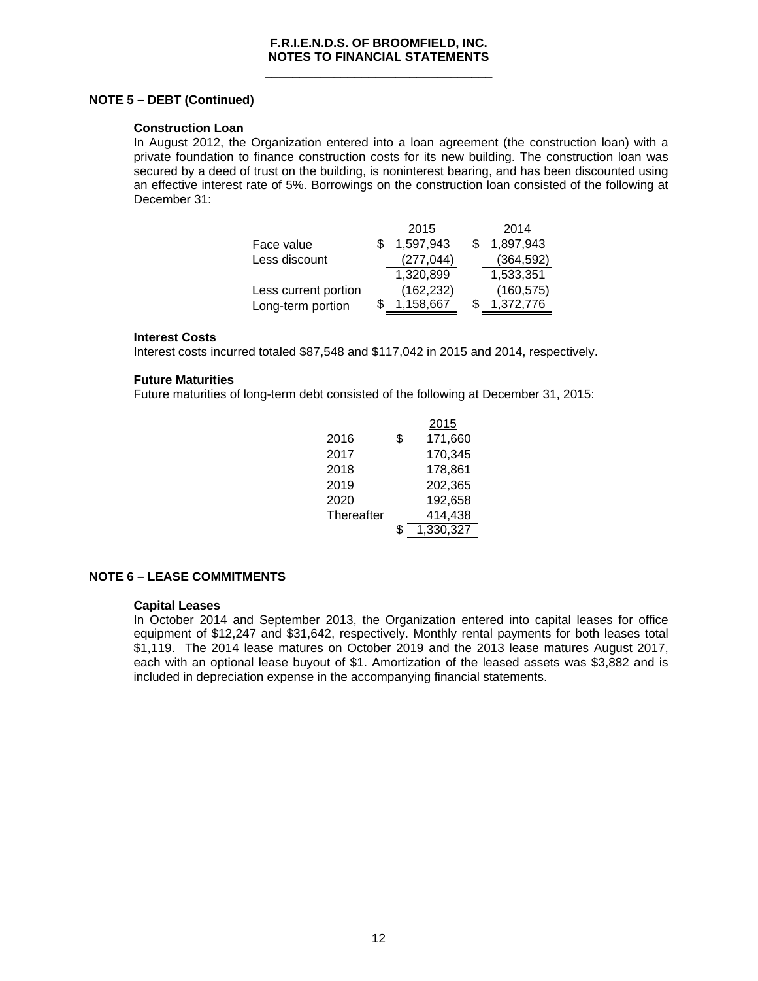## **NOTE 5 – DEBT (Continued)**

#### **Construction Loan**

In August 2012, the Organization entered into a loan agreement (the construction loan) with a private foundation to finance construction costs for its new building. The construction loan was secured by a deed of trust on the building, is noninterest bearing, and has been discounted using an effective interest rate of 5%. Borrowings on the construction loan consisted of the following at December 31:

|                      | 2015       | 2014       |
|----------------------|------------|------------|
| Face value           | 1,597,943  | 1,897,943  |
| Less discount        | (277, 044) | (364, 592) |
|                      | 1,320,899  | 1,533,351  |
| Less current portion | (162, 232) | (160, 575) |
| Long-term portion    | 1.158.667  | 1,372,776  |

#### **Interest Costs**

Interest costs incurred totaled \$87,548 and \$117,042 in 2015 and 2014, respectively.

#### **Future Maturities**

Future maturities of long-term debt consisted of the following at December 31, 2015:

|            |    | 2015      |
|------------|----|-----------|
| 2016       | \$ | 171,660   |
| 2017       |    | 170,345   |
| 2018       |    | 178,861   |
| 2019       |    | 202,365   |
| 2020       |    | 192,658   |
| Thereafter |    | 414,438   |
|            | ዩ  | 1,330,327 |

### **NOTE 6 – LEASE COMMITMENTS**

#### **Capital Leases**

In October 2014 and September 2013, the Organization entered into capital leases for office equipment of \$12,247 and \$31,642, respectively. Monthly rental payments for both leases total \$1,119. The 2014 lease matures on October 2019 and the 2013 lease matures August 2017, each with an optional lease buyout of \$1. Amortization of the leased assets was \$3,882 and is included in depreciation expense in the accompanying financial statements.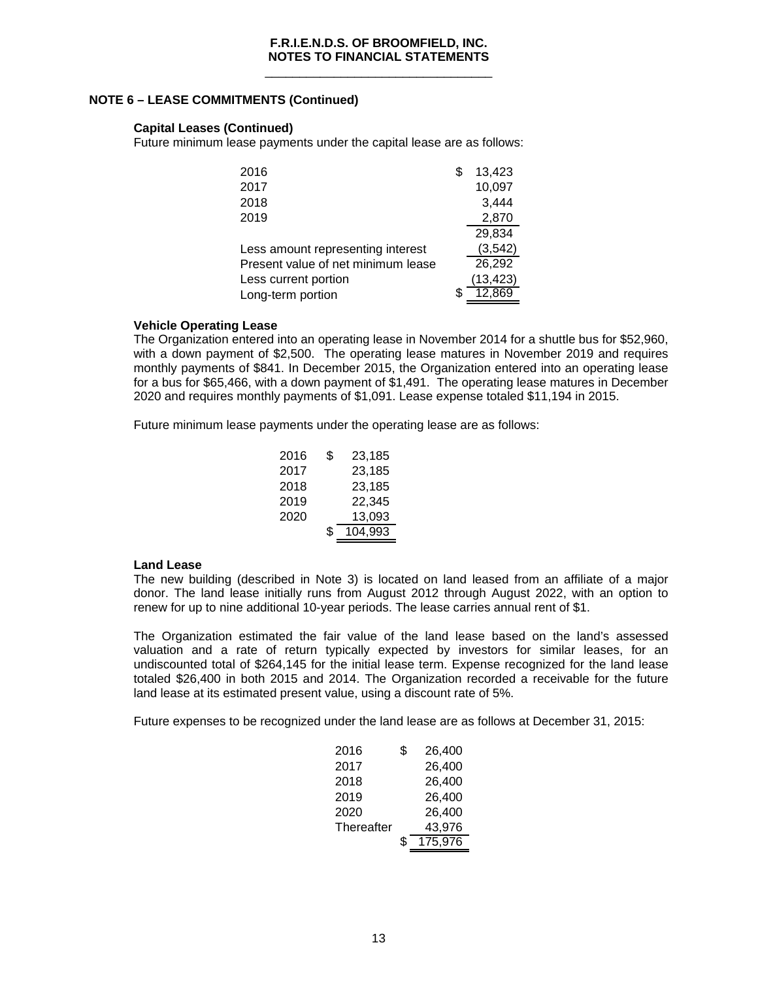## **NOTE 6 – LEASE COMMITMENTS (Continued)**

#### **Capital Leases (Continued)**

Future minimum lease payments under the capital lease are as follows:

| 2016                               | \$<br>13,423 |
|------------------------------------|--------------|
| 2017                               | 10,097       |
| 2018                               | 3,444        |
| 2019                               | 2,870        |
|                                    | 29,834       |
| Less amount representing interest  | (3,542)      |
| Present value of net minimum lease | 26,292       |
| Less current portion               | (13, 423)    |
| Long-term portion                  | 12,869       |

#### **Vehicle Operating Lease**

The Organization entered into an operating lease in November 2014 for a shuttle bus for \$52,960, with a down payment of \$2,500. The operating lease matures in November 2019 and requires monthly payments of \$841. In December 2015, the Organization entered into an operating lease for a bus for \$65,466, with a down payment of \$1,491. The operating lease matures in December 2020 and requires monthly payments of \$1,091. Lease expense totaled \$11,194 in 2015.

Future minimum lease payments under the operating lease are as follows:

| \$<br>23.185  |
|---------------|
| 23,185        |
| 23.185        |
| 22,345        |
| 13,093        |
| \$<br>104,993 |
|               |

#### **Land Lease**

The new building (described in Note 3) is located on land leased from an affiliate of a major donor. The land lease initially runs from August 2012 through August 2022, with an option to renew for up to nine additional 10-year periods. The lease carries annual rent of \$1.

The Organization estimated the fair value of the land lease based on the land's assessed valuation and a rate of return typically expected by investors for similar leases, for an undiscounted total of \$264,145 for the initial lease term. Expense recognized for the land lease totaled \$26,400 in both 2015 and 2014. The Organization recorded a receivable for the future land lease at its estimated present value, using a discount rate of 5%.

Future expenses to be recognized under the land lease are as follows at December 31, 2015:

| 2016       | \$ | 26,400  |
|------------|----|---------|
| 2017       |    | 26,400  |
| 2018       |    | 26,400  |
| 2019       |    | 26.400  |
| 2020       |    | 26,400  |
| Thereafter |    | 43,976  |
|            | ደ. | 175,976 |